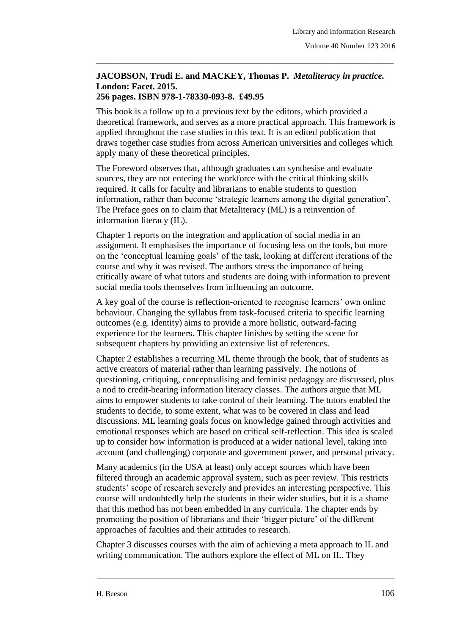## **JACOBSON, Trudi E. and MACKEY, Thomas P.** *Metaliteracy in practice.* **London: Facet. 2015. 256 pages. ISBN 978-1-78330-093-8. £49.95**

\_\_\_\_\_\_\_\_\_\_\_\_\_\_\_\_\_\_\_\_\_\_\_\_\_\_\_\_\_\_\_\_\_\_\_\_\_\_\_\_\_\_\_\_\_\_\_\_\_\_\_\_\_\_\_\_\_\_\_\_\_\_\_\_\_\_\_\_\_\_\_\_\_\_\_\_\_\_\_

This book is a follow up to a previous text by the editors, which provided a theoretical framework, and serves as a more practical approach. This framework is applied throughout the case studies in this text. It is an edited publication that draws together case studies from across American universities and colleges which apply many of these theoretical principles.

The Foreword observes that, although graduates can synthesise and evaluate sources, they are not entering the workforce with the critical thinking skills required. It calls for faculty and librarians to enable students to question information, rather than become 'strategic learners among the digital generation'. The Preface goes on to claim that Metaliteracy (ML) is a reinvention of information literacy (IL).

Chapter 1 reports on the integration and application of social media in an assignment. It emphasises the importance of focusing less on the tools, but more on the 'conceptual learning goals' of the task, looking at different iterations of the course and why it was revised. The authors stress the importance of being critically aware of what tutors and students are doing with information to prevent social media tools themselves from influencing an outcome.

A key goal of the course is reflection-oriented to recognise learners' own online behaviour. Changing the syllabus from task-focused criteria to specific learning outcomes (e.g. identity) aims to provide a more holistic, outward-facing experience for the learners. This chapter finishes by setting the scene for subsequent chapters by providing an extensive list of references.

Chapter 2 establishes a recurring ML theme through the book, that of students as active creators of material rather than learning passively. The notions of questioning, critiquing, conceptualising and feminist pedagogy are discussed, plus a nod to credit-bearing information literacy classes. The authors argue that ML aims to empower students to take control of their learning. The tutors enabled the students to decide, to some extent, what was to be covered in class and lead discussions. ML learning goals focus on knowledge gained through activities and emotional responses which are based on critical self-reflection. This idea is scaled up to consider how information is produced at a wider national level, taking into account (and challenging) corporate and government power, and personal privacy.

Many academics (in the USA at least) only accept sources which have been filtered through an academic approval system, such as peer review. This restricts students' scope of research severely and provides an interesting perspective. This course will undoubtedly help the students in their wider studies, but it is a shame that this method has not been embedded in any curricula. The chapter ends by promoting the position of librarians and their 'bigger picture' of the different approaches of faculties and their attitudes to research.

Chapter 3 discusses courses with the aim of achieving a meta approach to IL and writing communication. The authors explore the effect of ML on IL. They

\_\_\_\_\_\_\_\_\_\_\_\_\_\_\_\_\_\_\_\_\_\_\_\_\_\_\_\_\_\_\_\_\_\_\_\_\_\_\_\_\_\_\_\_\_\_\_\_\_\_\_\_\_\_\_\_\_\_\_\_\_\_\_\_\_\_\_\_\_\_\_\_\_\_\_\_\_\_\_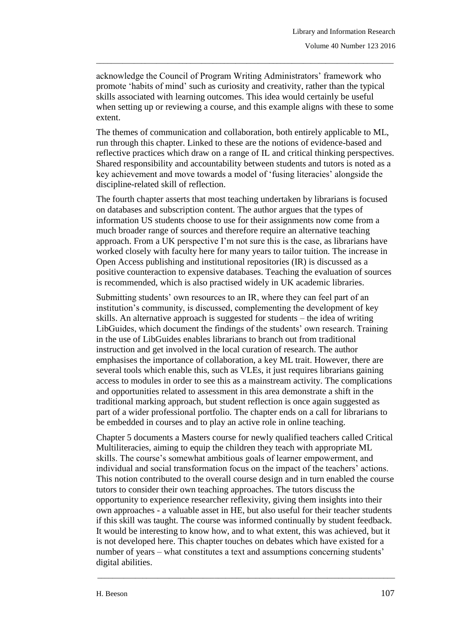acknowledge the Council of Program Writing Administrators' framework who promote 'habits of mind' such as curiosity and creativity, rather than the typical skills associated with learning outcomes. This idea would certainly be useful when setting up or reviewing a course, and this example aligns with these to some extent.

\_\_\_\_\_\_\_\_\_\_\_\_\_\_\_\_\_\_\_\_\_\_\_\_\_\_\_\_\_\_\_\_\_\_\_\_\_\_\_\_\_\_\_\_\_\_\_\_\_\_\_\_\_\_\_\_\_\_\_\_\_\_\_\_\_\_\_\_\_\_\_\_\_\_\_\_\_\_\_

The themes of communication and collaboration, both entirely applicable to ML, run through this chapter. Linked to these are the notions of evidence-based and reflective practices which draw on a range of IL and critical thinking perspectives. Shared responsibility and accountability between students and tutors is noted as a key achievement and move towards a model of 'fusing literacies' alongside the discipline-related skill of reflection.

The fourth chapter asserts that most teaching undertaken by librarians is focused on databases and subscription content. The author argues that the types of information US students choose to use for their assignments now come from a much broader range of sources and therefore require an alternative teaching approach. From a UK perspective I'm not sure this is the case, as librarians have worked closely with faculty here for many years to tailor tuition. The increase in Open Access publishing and institutional repositories (IR) is discussed as a positive counteraction to expensive databases. Teaching the evaluation of sources is recommended, which is also practised widely in UK academic libraries.

Submitting students' own resources to an IR, where they can feel part of an institution's community, is discussed, complementing the development of key skills. An alternative approach is suggested for students – the idea of writing LibGuides, which document the findings of the students' own research. Training in the use of LibGuides enables librarians to branch out from traditional instruction and get involved in the local curation of research. The author emphasises the importance of collaboration, a key ML trait. However, there are several tools which enable this, such as VLEs, it just requires librarians gaining access to modules in order to see this as a mainstream activity. The complications and opportunities related to assessment in this area demonstrate a shift in the traditional marking approach, but student reflection is once again suggested as part of a wider professional portfolio. The chapter ends on a call for librarians to be embedded in courses and to play an active role in online teaching.

Chapter 5 documents a Masters course for newly qualified teachers called Critical Multiliteracies, aiming to equip the children they teach with appropriate ML skills. The course's somewhat ambitious goals of learner empowerment, and individual and social transformation focus on the impact of the teachers' actions. This notion contributed to the overall course design and in turn enabled the course tutors to consider their own teaching approaches. The tutors discuss the opportunity to experience researcher reflexivity, giving them insights into their own approaches - a valuable asset in HE, but also useful for their teacher students if this skill was taught. The course was informed continually by student feedback. It would be interesting to know how, and to what extent, this was achieved, but it is not developed here. This chapter touches on debates which have existed for a number of years – what constitutes a text and assumptions concerning students' digital abilities.

\_\_\_\_\_\_\_\_\_\_\_\_\_\_\_\_\_\_\_\_\_\_\_\_\_\_\_\_\_\_\_\_\_\_\_\_\_\_\_\_\_\_\_\_\_\_\_\_\_\_\_\_\_\_\_\_\_\_\_\_\_\_\_\_\_\_\_\_\_\_\_\_\_\_\_\_\_\_\_